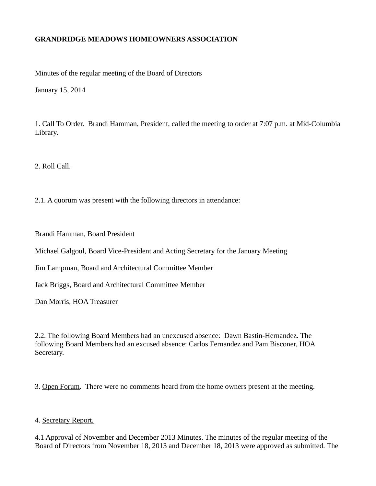# **GRANDRIDGE MEADOWS HOMEOWNERS ASSOCIATION**

Minutes of the regular meeting of the Board of Directors

January 15, 2014

1. Call To Order. Brandi Hamman, President, called the meeting to order at 7:07 p.m. at Mid-Columbia Library.

2. Roll Call.

2.1. A quorum was present with the following directors in attendance:

Brandi Hamman, Board President

Michael Galgoul, Board Vice-President and Acting Secretary for the January Meeting

Jim Lampman, Board and Architectural Committee Member

Jack Briggs, Board and Architectural Committee Member

Dan Morris, HOA Treasurer

2.2. The following Board Members had an unexcused absence: Dawn Bastin-Hernandez. The following Board Members had an excused absence: Carlos Fernandez and Pam Bisconer, HOA Secretary.

3. Open Forum. There were no comments heard from the home owners present at the meeting.

# 4. Secretary Report.

4.1 Approval of November and December 2013 Minutes. The minutes of the regular meeting of the Board of Directors from November 18, 2013 and December 18, 2013 were approved as submitted. The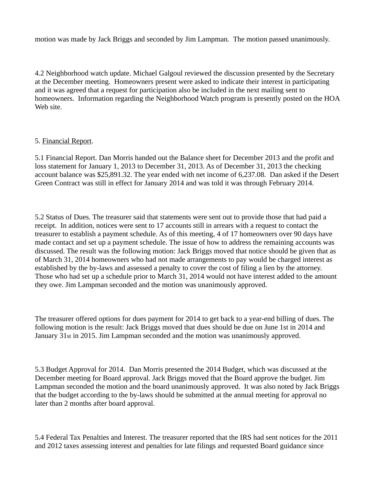motion was made by Jack Briggs and seconded by Jim Lampman. The motion passed unanimously.

4.2 Neighborhood watch update. Michael Galgoul reviewed the discussion presented by the Secretary at the December meeting. Homeowners present were asked to indicate their interest in participating and it was agreed that a request for participation also be included in the next mailing sent to homeowners. Information regarding the Neighborhood Watch program is presently posted on the HOA Web site.

### 5. Financial Report.

5.1 Financial Report. Dan Morris handed out the Balance sheet for December 2013 and the profit and loss statement for January 1, 2013 to December 31, 2013. As of December 31, 2013 the checking account balance was \$25,891.32. The year ended with net income of 6,237.08. Dan asked if the Desert Green Contract was still in effect for January 2014 and was told it was through February 2014.

5.2 Status of Dues. The treasurer said that statements were sent out to provide those that had paid a receipt. In addition, notices were sent to 17 accounts still in arrears with a request to contact the treasurer to establish a payment schedule. As of this meeting, 4 of 17 homeowners over 90 days have made contact and set up a payment schedule. The issue of how to address the remaining accounts was discussed. The result was the following motion: Jack Briggs moved that notice should be given that as of March 31, 2014 homeowners who had not made arrangements to pay would be charged interest as established by the by-laws and assessed a penalty to cover the cost of filing a lien by the attorney. Those who had set up a schedule prior to March 31, 2014 would not have interest added to the amount they owe. Jim Lampman seconded and the motion was unanimously approved.

The treasurer offered options for dues payment for 2014 to get back to a year-end billing of dues. The following motion is the result: Jack Briggs moved that dues should be due on June 1st in 2014 and January 31st in 2015. Jim Lampman seconded and the motion was unanimously approved.

5.3 Budget Approval for 2014. Dan Morris presented the 2014 Budget, which was discussed at the December meeting for Board approval. Jack Briggs moved that the Board approve the budget. Jim Lampman seconded the motion and the board unanimously approved. It was also noted by Jack Briggs that the budget according to the by-laws should be submitted at the annual meeting for approval no later than 2 months after board approval.

5.4 Federal Tax Penalties and Interest. The treasurer reported that the IRS had sent notices for the 2011 and 2012 taxes assessing interest and penalties for late filings and requested Board guidance since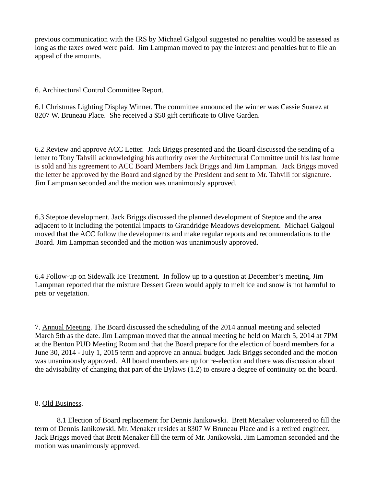previous communication with the IRS by Michael Galgoul suggested no penalties would be assessed as long as the taxes owed were paid. Jim Lampman moved to pay the interest and penalties but to file an appeal of the amounts.

### 6. Architectural Control Committee Report.

6.1 Christmas Lighting Display Winner. The committee announced the winner was Cassie Suarez at 8207 W. Bruneau Place. She received a \$50 gift certificate to Olive Garden.

6.2 Review and approve ACC Letter. Jack Briggs presented and the Board discussed the sending of a letter to Tony Tahvili acknowledging his authority over the Architectural Committee until his last home is sold and his agreement to ACC Board Members Jack Briggs and Jim Lampman. Jack Briggs moved the letter be approved by the Board and signed by the President and sent to Mr. Tahvili for signature. Jim Lampman seconded and the motion was unanimously approved.

6.3 Steptoe development. Jack Briggs discussed the planned development of Steptoe and the area adjacent to it including the potential impacts to Grandridge Meadows development. Michael Galgoul moved that the ACC follow the developments and make regular reports and recommendations to the Board. Jim Lampman seconded and the motion was unanimously approved.

6.4 Follow-up on Sidewalk Ice Treatment. In follow up to a question at December's meeting, Jim Lampman reported that the mixture Dessert Green would apply to melt ice and snow is not harmful to pets or vegetation.

7. Annual Meeting. The Board discussed the scheduling of the 2014 annual meeting and selected March 5th as the date. Jim Lampman moved that the annual meeting be held on March 5, 2014 at 7PM at the Benton PUD Meeting Room and that the Board prepare for the election of board members for a June 30, 2014 - July 1, 2015 term and approve an annual budget. Jack Briggs seconded and the motion was unanimously approved. All board members are up for re-election and there was discussion about the advisability of changing that part of the Bylaws (1.2) to ensure a degree of continuity on the board.

#### 8. Old Business.

8.1 Election of Board replacement for Dennis Janikowski. Brett Menaker volunteered to fill the term of Dennis Janikowski. Mr. Menaker resides at 8307 W Bruneau Place and is a retired engineer. Jack Briggs moved that Brett Menaker fill the term of Mr. Janikowski. Jim Lampman seconded and the motion was unanimously approved.